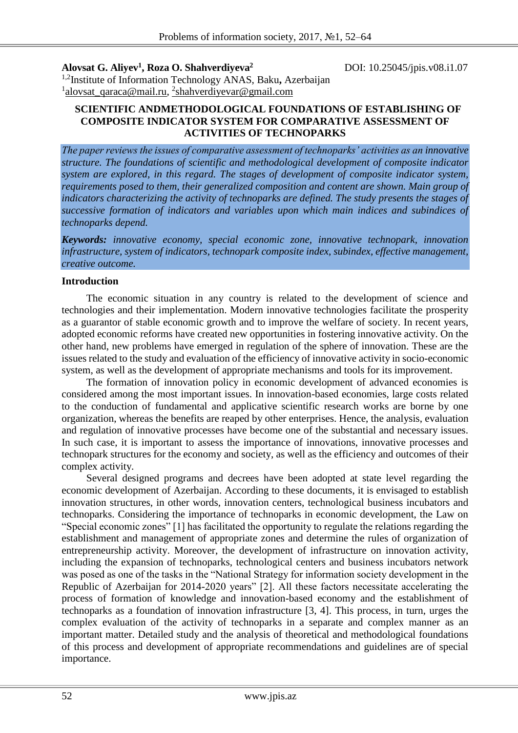**Alovsat G. Aliyev<sup>1</sup> , Roza O. Shahverdiyeva<sup>2</sup>**

DOI: 10.25045/jpis.v08.i1.07

1,2Institute of Information Technology ANAS, Baku**,** Azerbaijan <sup>1</sup>[alovsat\\_qaraca@mail.ru,](mailto:alovsat_qaraca@mail.ru) <sup>2</sup>shahverdiyevar@gmail.com

#### **SCIENTIFIC ANDMETHODOLOGICAL FOUNDATIONS OF ESTABLISHING OF COMPOSITE INDICATOR SYSTEM FOR COMPARATIVE ASSESSMENT OF ACTIVITIES OF TECHNOPARKS**

*The paper reviews the issues of comparative assessment of technoparks' activities as an innovative structure. The foundations of scientific and methodological development of composite indicator system are explored, in this regard. The stages of development of composite indicator system, requirements posed to them, their generalized composition and content are shown. Main group of indicators characterizing the activity of technoparks are defined. The study presents the stages of successive formation of indicators and variables upon which main indices and subindices of technoparks depend.* 

*Keywords: innovative economy, special economic zone, innovative technopark, innovation infrastructure, system of indicators, technopark composite index, subindex, effective management, creative outcome.*

## **Introduction**

The economic situation in any country is related to the development of science and technologies and their implementation. Modern innovative technologies facilitate the prosperity as a guarantor of stable economic growth and to improve the welfare of society. In recent years, adopted economic reforms have created new opportunities in fostering innovative activity. On the other hand, new problems have emerged in regulation of the sphere of innovation. These are the issues related to the study and evaluation of the efficiency of innovative activity in socio-economic system, as well as the development of appropriate mechanisms and tools for its improvement.

The formation of innovation policy in economic development of advanced economies is considered among the most important issues. In innovation-based economies, large costs related to the conduction of fundamental and applicative scientific research works are borne by one organization, whereas the benefits are reaped by other enterprises. Hence, the analysis, evaluation and regulation of innovative processes have become one of the substantial and necessary issues. In such case, it is important to assess the importance of innovations, innovative processes and technopark structures for the economy and society, as well as the efficiency and outcomes of their complex activity.

Several designed programs and decrees have been adopted at state level regarding the economic development of Azerbaijan. According to these documents, it is envisaged to establish innovation structures, in other words, innovation centers, technological business incubators and technoparks. Considering the importance of technoparks in economic development, the Law on "Special economic zones" [1] has facilitated the opportunity to regulate the relations regarding the establishment and management of appropriate zones and determine the rules of organization of entrepreneurship activity. Moreover, the development of infrastructure on innovation activity, including the expansion of technoparks, technological centers and business incubators network was posed as one of the tasks in the "National Strategy for information society development in the Republic of Azerbaijan for 2014-2020 years" [2]. All these factors necessitate accelerating the process of formation of knowledge and innovation-based economy and the establishment of technoparks as a foundation of innovation infrastructure [3, 4]. This process, in turn, urges the complex evaluation of the activity of technoparks in a separate and complex manner as an important matter. Detailed study and the analysis of theoretical and methodological foundations of this process and development of appropriate recommendations and guidelines are of special importance.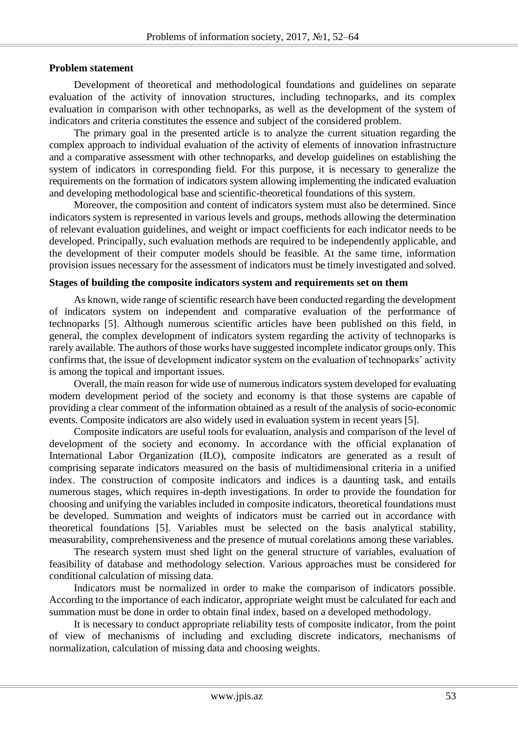## **Problem statement**

Development of theoretical and methodological foundations and guidelines on separate evaluation of the activity of innovation structures, including technoparks, and its complex evaluation in comparison with other technoparks, as well as the development of the system of indicators and criteria constitutes the essence and subject of the considered problem.

The primary goal in the presented article is to analyze the current situation regarding the complex approach to individual evaluation of the activity of elements of innovation infrastructure and a comparative assessment with other technoparks, and develop guidelines on establishing the system of indicators in corresponding field. For this purpose, it is necessary to generalize the requirements on the formation of indicators system allowing implementing the indicated evaluation and developing methodological base and scientific-theoretical foundations of this system.

Moreover, the composition and content of indicators system must also be determined. Since indicators system is represented in various levels and groups, methods allowing the determination of relevant evaluation guidelines, and weight or impact coefficients for each indicator needs to be developed. Principally, such evaluation methods are required to be independently applicable, and the development of their computer models should be feasible. At the same time, information provision issues necessary for the assessment of indicators must be timely investigated and solved.

## **Stages of building the composite indicators system and requirements set on them**

As known, wide range of scientific research have been conducted regarding the development of indicators system on independent and comparative evaluation of the performance of technoparks [5]. Although numerous scientific articles have been published on this field, in general, the complex development of indicators system regarding the activity of technoparks is rarely available. The authors of those works have suggested incomplete indicator groups only. This confirms that, the issue of development indicator system on the evaluation of technoparks' activity is among the topical and important issues.

Overall, the main reason for wide use of numerous indicators system developed for evaluating modern development period of the society and economy is that those systems are capable of providing a clear comment of the information obtained as a result of the analysis of socio-economic events. Composite indicators are also widely used in evaluation system in recent years [5].

Composite indicators are useful tools for evaluation, analysis and comparison of the level of development of the society and economy. In accordance with the official explanation of International Labor Organization (ILO), composite indicators are generated as a result of comprising separate indicators measured on the basis of multidimensional criteria in a unified index. The construction of composite indicators and indices is a daunting task, and entails numerous stages, which requires in-depth investigations. In order to provide the foundation for choosing and unifying the variables included in composite indicators, theoretical foundations must be developed. Summation and weights of indicators must be carried out in accordance with theoretical foundations [5]. Variables must be selected on the basis analytical stability, measurability, comprehensiveness and the presence of mutual corelations among these variables.

The research system must shed light on the general structure of variables, evaluation of feasibility of database and methodology selection. Various approaches must be considered for conditional calculation of missing data.

Indicators must be normalized in order to make the comparison of indicators possible. According to the importance of each indicator, appropriate weight must be calculated for each and summation must be done in order to obtain final index, based on a developed methodology.

It is necessary to conduct appropriate reliability tests of composite indicator, from the point of view of mechanisms of including and excluding discrete indicators, mechanisms of normalization, calculation of missing data and choosing weights.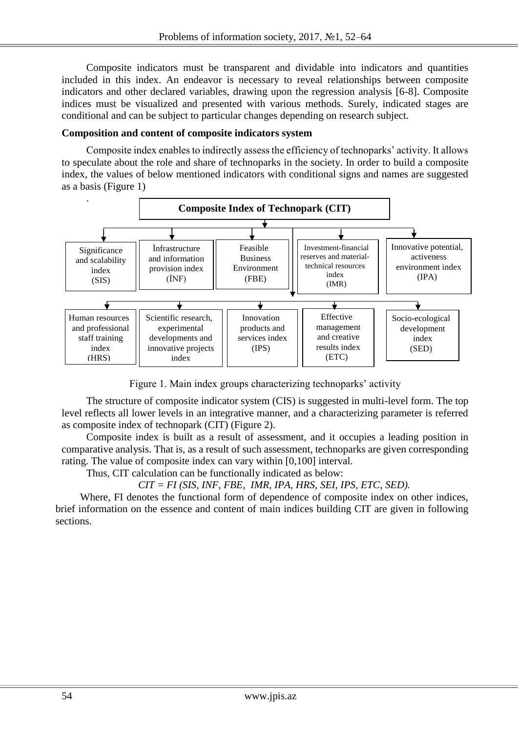Composite indicators must be transparent and dividable into indicators and quantities included in this index. An endeavor is necessary to reveal relationships between composite indicators and other declared variables, drawing upon the regression analysis [6-8]. Composite indices must be visualized and presented with various methods. Surely, indicated stages are conditional and can be subject to particular changes depending on research subject.

## **Composition and content of composite indicators system**

Composite index enables to indirectly assess the efficiency of technoparks' activity. It allows to speculate about the role and share of technoparks in the society. In order to build a composite index, the values of below mentioned indicators with conditional signs and names are suggested as a basis (Figure 1)



Figure 1. Main index groups characterizing technoparks' activity

The structure of composite indicator system (CIS) is suggested in multi-level form. The top level reflects all lower levels in an integrative manner, and a characterizing parameter is referred as composite index of technopark (CIT) (Figure 2).

Composite index is built as a result of assessment, and it occupies a leading position in comparative analysis. That is, as a result of such assessment, technoparks are given corresponding rating. The value of composite index can vary within [0,100] interval.

Thus, CIT calculation can be functionally indicated as below:

 $CIT = FI(SIS, INF, FBE, IMR, IPA, HRS, SEL, IPS, ETC, SED).$ 

Where, FI denotes the functional form of dependence of composite index on other indices, brief information on the essence and content of main indices building CIT are given in following sections.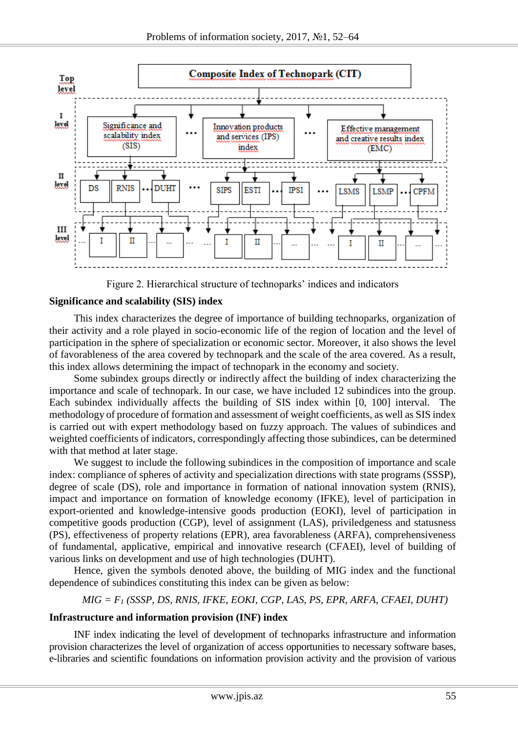

Figure 2. Hierarchical structure of technoparks' indices and indicators

## **Significance and scalability (SIS) index**

This index characterizes the degree of importance of building technoparks, organization of their activity and a role played in socio-economic life of the region of location and the level of participation in the sphere of specialization or economic sector. Moreover, it also shows the level of favorableness of the area covered by technopark and the scale of the area covered. As a result, this index allows determining the impact of technopark in the economy and society.

Some subindex groups directly or indirectly affect the building of index characterizing the importance and scale of technopark. In our case, we have included 12 subindices into the group. Each subindex individually affects the building of SIS index within [0, 100] interval. The methodology of procedure of formation and assessment of weight coefficients, as well as SIS index is carried out with expert methodology based on fuzzy approach. The values of subindices and weighted coefficients of indicators, correspondingly affecting those subindices, can be determined with that method at later stage.

We suggest to include the following subindices in the composition of importance and scale index: compliance of spheres of activity and specialization directions with state programs (SSSP), degree of scale (DS), role and importance in formation of national innovation system (RNIS), impact and importance on formation of knowledge economy (IFKE), level of participation in export-oriented and knowledge-intensive goods production (EOKI), level of participation in competitive goods production (CGP), level of assignment (LAS), priviledgeness and statusness (PS), effectiveness of property relations (EPR), area favorableness (ARFA), comprehensiveness of fundamental, applicative, empirical and innovative research (CFAEI), level of building of various links on development and use of high technologies (DUHT).

Hence, given the symbols denoted above, the building of MIG index and the functional dependence of subindices constituting this index can be given as below:

#### *MIG = F<sup>1</sup> (SSSP, DS, RNIS, IFKE, EOKI, CGP, LAS, PS, EPR, ARFA, CFAEI, DUHT)*

#### **Infrastructure and information provision (INF) index**

INF index indicating the level of development of technoparks infrastructure and information provision characterizes the level of organization of access opportunities to necessary software bases, e-libraries and scientific foundations on information provision activity and the provision of various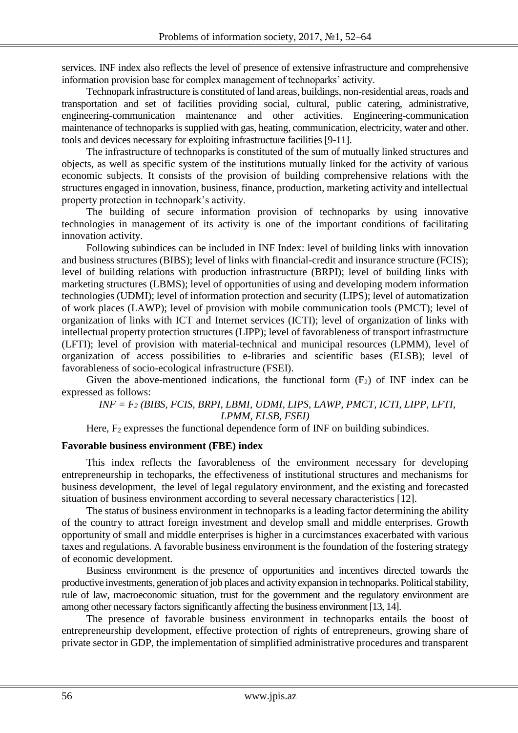services. INF index also reflects the level of presence of extensive infrastructure and comprehensive information provision base for complex management of technoparks' activity.

Technopark infrastructure is constituted of land areas, buildings, non-residential areas, roads and transportation and set of facilities providing social, cultural, public catering, administrative, engineering-communication maintenance and other activities. Engineering-communication maintenance of technoparks is supplied with gas, heating, communication, electricity, water and other. tools and devices necessary for exploiting infrastructure facilities [9-11].

The infrastructure of technoparks is constituted of the sum of mutually linked structures and objects, as well as specific system of the institutions mutually linked for the activity of various economic subjects. It consists of the provision of building comprehensive relations with the structures engaged in innovation, business, finance, production, marketing activity and intellectual property protection in technopark's activity.

The building of secure information provision of technoparks by using innovative technologies in management of its activity is one of the important conditions of facilitating innovation activity.

Following subindices can be included in INF Index: level of building links with innovation and business structures (BIBS); level of links with financial-credit and insurance structure (FCIS); level of building relations with production infrastructure (BRPI); level of building links with marketing structures (LBMS); level of opportunities of using and developing modern information technologies (UDMI); level of information protection and security (LIPS); level of automatization of work places (LAWP); level of provision with mobile communication tools (PMCT); level of organization of links with ICT and Internet services (ICTI); level of organization of links with intellectual property protection structures (LIPP); level of favorableness of transport infrastructure (LFTI); level of provision with material-technical and municipal resources (LPMM), level of organization of access possibilities to e-libraries and scientific bases (ELSB); level of favorableness of socio-ecological infrastructure (FSEI).

Given the above-mentioned indications, the functional form  $(F_2)$  of INF index can be expressed as follows:

*INF = F<sup>2</sup> (BIBS, FCIS, BRPI, LBMI, UDMI, LIPS, LAWP, PMCT, ICTI, LIPP, LFTI, LPMM, ELSB, FSEI)*

Here,  $F_2$  expresses the functional dependence form of INF on building subindices.

## **Favorable business environment (FBE) index**

This index reflects the favorableness of the environment necessary for developing entrepreneurship in techoparks, the effectiveness of institutional structures and mechanisms for business development, the level of legal regulatory environment, and the existing and forecasted situation of business environment according to several necessary characteristics [12].

The status of business environment in technoparks is a leading factor determining the ability of the country to attract foreign investment and develop small and middle enterprises. Growth opportunity of small and middle enterprises is higher in a curcimstances exacerbated with various taxes and regulations. A favorable business environment is the foundation of the fostering strategy of economic development.

Business environment is the presence of opportunities and incentives directed towards the productive investments, generation of job places and activity expansion in technoparks. Political stability, rule of law, macroeconomic situation, trust for the government and the regulatory environment are among other necessary factors significantly affecting the business environment [13, 14].

The presence of favorable business environment in technoparks entails the boost of entrepreneurship development, effective protection of rights of entrepreneurs, growing share of private sector in GDP, the implementation of simplified administrative procedures and transparent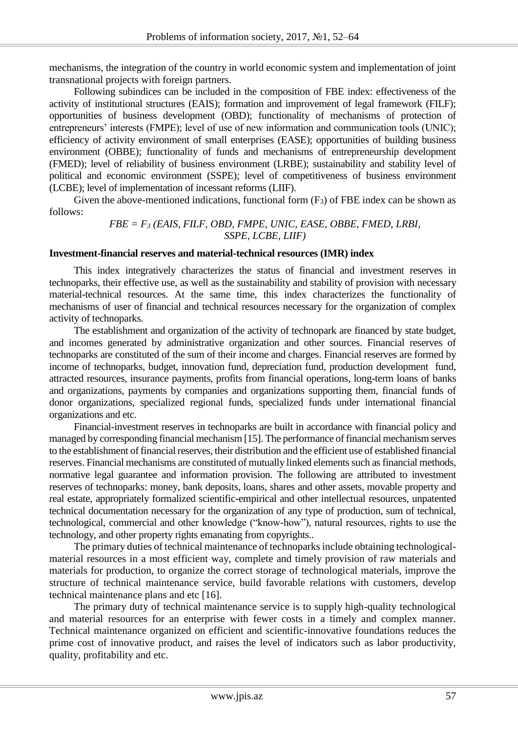mechanisms, the integration of the country in world economic system and implementation of joint transnational projects with foreign partners.

Following subindices can be included in the composition of FBE index: effectiveness of the activity of institutional structures (EAIS); formation and improvement of legal framework (FILF); opportunities of business development (OBD); functionality of mechanisms of protection of entrepreneurs' interests (FMPE); level of use of new information and communication tools (UNIC); efficiency of activity environment of small enterprises (EASE); opportunities of building business environment (OBBE); functionality of funds and mechanisms of entrepreneurship development (FMED); level of reliability of business environment (LRBE); sustainability and stability level of political and economic environment (SSPE); level of competitiveness of business environment (LCBE); level of implementation of incessant reforms (LIIF).

Given the above-mentioned indications, functional form  $(F_3)$  of FBE index can be shown as follows:

# *FBE = F<sup>3</sup> (EAIS, FILF, OBD, FMPE, UNIC, EASE, OBBE, FMED, LRBI, SSPE, LCBE, LIIF)*

## **Investment-financial reserves and material-technical resources (IMR) index**

This index integratively characterizes the status of financial and investment reserves in technoparks, their effective use, as well as the sustainability and stability of provision with necessary material-technical resources. At the same time, this index characterizes the functionality of mechanisms of user of financial and technical resources necessary for the organization of complex activity of technoparks.

The establishment and organization of the activity of technopark are financed by state budget, and incomes generated by administrative organization and other sources. Financial reserves of technoparks are constituted of the sum of their income and charges. Financial reserves are formed by income of technoparks, budget, innovation fund, depreciation fund, production development fund, attracted resources, insurance payments, profits from financial operations, long-term loans of banks and organizations, payments by companies and organizations supporting them, financial funds of donor organizations, specialized regional funds, specialized funds under international financial organizations and etc.

Financial-investment reserves in technoparks are built in accordance with financial policy and managed by corresponding financial mechanism [15]. The performance of financial mechanism serves to the establishment of financial reserves, their distribution and the efficient use of established financial reserves. Financial mechanisms are constituted of mutually linked elements such as financial methods, normative legal guarantee and information provision. The following are attributed to investment reserves of technoparks: money, bank deposits, loans, shares and other assets, movable property and real estate, appropriately formalized scientific-empirical and other intellectual resources, unpatented technical documentation necessary for the organization of any type of production, sum of technical, technological, commercial and other knowledge ("know-how"), natural resources, rights to use the technology, and other property rights emanating from copyrights..

The primary duties of technical maintenance of technoparks include obtaining technologicalmaterial resources in a most efficient way, complete and timely provision of raw materials and materials for production, to organize the correct storage of technological materials, improve the structure of technical maintenance service, build favorable relations with customers, develop technical maintenance plans and etc [16].

The primary duty of technical maintenance service is to supply high-quality technological and material resources for an enterprise with fewer costs in a timely and complex manner. Technical maintenance organized on efficient and scientific-innovative foundations reduces the prime cost of innovative product, and raises the level of indicators such as labor productivity, quality, profitability and etc.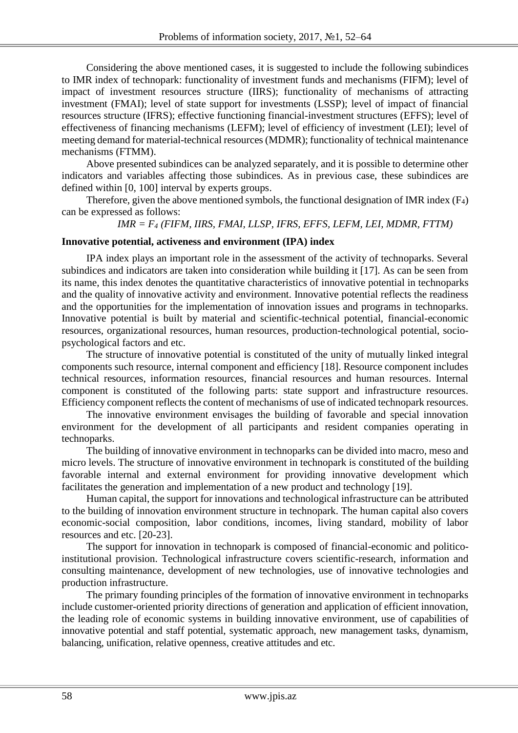Considering the above mentioned cases, it is suggested to include the following subindices to IMR index of technopark: functionality of investment funds and mechanisms (FIFM); level of impact of investment resources structure (IIRS); functionality of mechanisms of attracting investment (FMAI); level of state support for investments (LSSP); level of impact of financial resources structure (IFRS); effective functioning financial-investment structures (EFFS); level of effectiveness of financing mechanisms (LEFM); level of efficiency of investment (LEI); level of meeting demand for material-technical resources (MDMR); functionality of technical maintenance mechanisms (FTMM).

Above presented subindices can be analyzed separately, and it is possible to determine other indicators and variables affecting those subindices. As in previous case, these subindices are defined within [0, 100] interval by experts groups.

Therefore, given the above mentioned symbols, the functional designation of IMR index  $(F_4)$ can be expressed as follows:

## *IMR = F<sup>4</sup> (FIFM, IIRS, FMAI, LLSP, IFRS, EFFS, LEFM, LEI, MDMR, FTTM)*

## **Innovative potential, activeness and environment (IPA) index**

IPA index plays an important role in the assessment of the activity of technoparks. Several subindices and indicators are taken into consideration while building it [17]. As can be seen from its name, this index denotes the quantitative characteristics of innovative potential in technoparks and the quality of innovative activity and environment. Innovative potential reflects the readiness and the opportunities for the implementation of innovation issues and programs in technoparks. Innovative potential is built by material and scientific-technical potential, financial-economic resources, organizational resources, human resources, production-technological potential, sociopsychological factors and etc.

The structure of innovative potential is constituted of the unity of mutually linked integral components such resource, internal component and efficiency [18]. Resource component includes technical resources, information resources, financial resources and human resources. Internal component is constituted of the following parts: state support and infrastructure resources. Efficiency component reflects the content of mechanisms of use of indicated technopark resources.

The innovative environment envisages the building of favorable and special innovation environment for the development of all participants and resident companies operating in technoparks.

The building of innovative environment in technoparks can be divided into macro, meso and micro levels. The structure of innovative environment in technopark is constituted of the building favorable internal and external environment for providing innovative development which facilitates the generation and implementation of a new product and technology [19].

Human capital, the support for innovations and technological infrastructure can be attributed to the building of innovation environment structure in technopark. The human capital also covers economic-social composition, labor conditions, incomes, living standard, mobility of labor resources and etc. [20-23].

The support for innovation in technopark is composed of financial-economic and politicoinstitutional provision. Technological infrastructure covers scientific-research, information and consulting maintenance, development of new technologies, use of innovative technologies and production infrastructure.

The primary founding principles of the formation of innovative environment in technoparks include customer-oriented priority directions of generation and application of efficient innovation, the leading role of economic systems in building innovative environment, use of capabilities of innovative potential and staff potential, systematic approach, new management tasks, dynamism, balancing, unification, relative openness, creative attitudes and etc.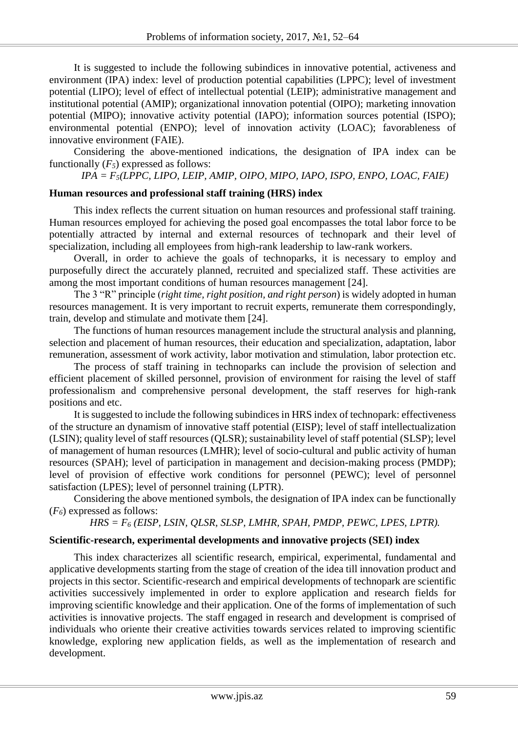It is suggested to include the following subindices in innovative potential, activeness and environment (IPA) index: level of production potential capabilities (LPPC); level of investment potential (LIPO); level of effect of intellectual potential (LEIP); administrative management and institutional potential (AMIP); organizational innovation potential (OIPO); marketing innovation potential (MIPO); innovative activity potential (IAPO); information sources potential (ISPO); environmental potential (ENPO); level of innovation activity (LOAC); favorableness of innovative environment (FAIE).

Considering the above-mentioned indications, the designation of IPA index can be functionally (*F5*) expressed as follows:

*IPA = F5(LPPC, LIPO, LEIP, AMIP, OIPO, MIPO, IAPO, ISPO, ENPO, LOAC, FAIE)*

## **Human resources and professional staff training (HRS) index**

This index reflects the current situation on human resources and professional staff training. Human resources employed for achieving the posed goal encompasses the total labor force to be potentially attracted by internal and external resources of technopark and their level of specialization, including all employees from high-rank leadership to law-rank workers.

Overall, in order to achieve the goals of technoparks, it is necessary to employ and purposefully direct the accurately planned, recruited and specialized staff. These activities are among the most important conditions of human resources management [24].

The 3 "R" principle (*right time, right position, and right person*) is widely adopted in human resources management. It is very important to recruit experts, remunerate them correspondingly, train, develop and stimulate and motivate them [24].

The functions of human resources management include the structural analysis and planning, selection and placement of human resources, their education and specialization, adaptation, labor remuneration, assessment of work activity, labor motivation and stimulation, labor protection etc.

The process of staff training in technoparks can include the provision of selection and efficient placement of skilled personnel, provision of environment for raising the level of staff professionalism and comprehensive personal development, the staff reserves for high-rank positions and etc.

It is suggested to include the following subindices in HRS index of technopark: effectiveness of the structure an dynamism of innovative staff potential (EISP); level of staff intellectualization (LSIN); quality level of staff resources (QLSR); sustainability level of staff potential (SLSP); level of management of human resources (LMHR); level of socio-cultural and public activity of human resources (SPAH); level of participation in management and decision-making process (PMDP); level of provision of effective work conditions for personnel (PEWC); level of personnel satisfaction (LPES); level of personnel training (LPTR).

Considering the above mentioned symbols, the designation of IPA index can be functionally (*F6*) expressed as follows:

*HRS = F<sup>6</sup> (EISP, LSIN, QLSR, SLSP, LMHR, SPAH, PMDP, PEWC, LPES, LPTR).*

## **Scientific-research, experimental developments and innovative projects (SEI) index**

This index characterizes all scientific research, empirical, experimental, fundamental and applicative developments starting from the stage of creation of the idea till innovation product and projects in this sector. Scientific-research and empirical developments of technopark are scientific activities successively implemented in order to explore application and research fields for improving scientific knowledge and their application. One of the forms of implementation of such activities is innovative projects. The staff engaged in research and development is comprised of individuals who oriente their creative activities towards services related to improving scientific knowledge, exploring new application fields, as well as the implementation of research and development.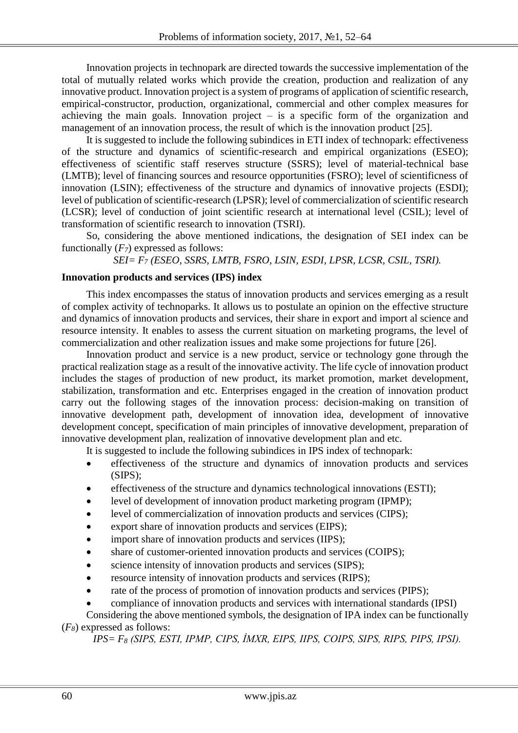Innovation projects in technopark are directed towards the successive implementation of the total of mutually related works which provide the creation, production and realization of any innovative product. Innovation project is a system of programs of application of scientific research, empirical-constructor, production, organizational, commercial and other complex measures for achieving the main goals. Innovation project  $-$  is a specific form of the organization and management of an innovation process, the result of which is the innovation product [25].

It is suggested to include the following subindices in ETI index of technopark: effectiveness of the structure and dynamics of scientific-research and empirical organizations (ESEO); effectiveness of scientific staff reserves structure (SSRS); level of material-technical base (LMTB); level of financing sources and resource opportunities (FSRO); level of scientificness of innovation (LSIN); effectiveness of the structure and dynamics of innovative projects (ESDI); level of publication of scientific-research (LPSR); level of commercialization of scientific research (LCSR); level of conduction of joint scientific research at international level (CSIL); level of transformation of scientific research to innovation (TSRI).

So, considering the above mentioned indications, the designation of SEI index can be functionally (*F7*) expressed as follows:

*SEI= F<sup>7</sup> (ESEO, SSRS, LMTB, FSRO, LSIN, ESDI, LPSR, LCSR, CSIL, TSRI).*

## **Innovation products and services (IPS) index**

This index encompasses the status of innovation products and services emerging as a result of complex activity of technoparks. It allows us to postulate an opinion on the effective structure and dynamics of innovation products and services, their share in export and import al science and resource intensity. It enables to assess the current situation on marketing programs, the level of commercialization and other realization issues and make some projections for future [26].

Innovation product and service is a new product, service or technology gone through the practical realization stage as a result of the innovative activity. The life cycle of innovation product includes the stages of production of new product, its market promotion, market development, stabilization, transformation and etc. Enterprises engaged in the creation of innovation product carry out the following stages of the innovation process: decision-making on transition of innovative development path, development of innovation idea, development of innovative development concept, specification of main principles of innovative development, preparation of innovative development plan, realization of innovative development plan and etc.

It is suggested to include the following subindices in IPS index of technopark:

- effectiveness of the structure and dynamics of innovation products and services (SIPS);
- effectiveness of the structure and dynamics technological innovations (ESTI);
- level of development of innovation product marketing program (IPMP);
- level of commercialization of innovation products and services (CIPS);
- export share of innovation products and services (EIPS);
- import share of innovation products and services (IIPS);
- share of customer-oriented innovation products and services (COIPS);
- science intensity of innovation products and services (SIPS);
- resource intensity of innovation products and services (RIPS);
- rate of the process of promotion of innovation products and services (PIPS);
- compliance of innovation products and services with international standards (IPSI)

Considering the above mentioned symbols, the designation of IPA index can be functionally (*F8*) expressed as follows:

*IPS= F<sup>8</sup> (SIPS, ESTI, IPMP, CIPS, İMXR, EIPS, IIPS, COIPS, SIPS, RIPS, PIPS, IPSI).*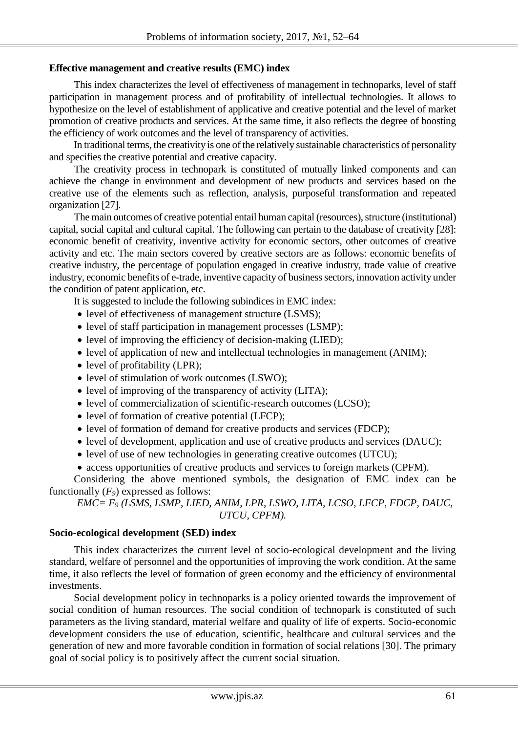#### **Effective management and creative results (EMC) index**

This index characterizes the level of effectiveness of management in technoparks, level of staff participation in management process and of profitability of intellectual technologies. It allows to hypothesize on the level of establishment of applicative and creative potential and the level of market promotion of creative products and services. At the same time, it also reflects the degree of boosting the efficiency of work outcomes and the level of transparency of activities.

In traditional terms, the creativity is one of the relatively sustainable characteristics of personality and specifies the creative potential and creative capacity.

The creativity process in technopark is constituted of mutually linked components and can achieve the change in environment and development of new products and services based on the creative use of the elements such as reflection, analysis, purposeful transformation and repeated organization [27].

The main outcomes of creative potential entail human capital (resources), structure (institutional) capital, social capital and cultural capital. The following can pertain to the database of creativity [28]: economic benefit of creativity, inventive activity for economic sectors, other outcomes of creative activity and etc. The main sectors covered by creative sectors are as follows: economic benefits of creative industry, the percentage of population engaged in creative industry, trade value of creative industry, economic benefits of e-trade, inventive capacity of business sectors, innovation activity under the condition of patent application, etc.

It is suggested to include the following subindices in EMC index:

- level of effectiveness of management structure (LSMS):
- level of staff participation in management processes (LSMP);
- level of improving the efficiency of decision-making (LIED);
- level of application of new and intellectual technologies in management (ANIM);
- level of profitability (LPR);
- level of stimulation of work outcomes (LSWO);
- level of improving of the transparency of activity (LITA);
- level of commercialization of scientific-research outcomes (LCSO);
- level of formation of creative potential (LFCP);
- level of formation of demand for creative products and services (FDCP);
- level of development, application and use of creative products and services (DAUC);
- level of use of new technologies in generating creative outcomes (UTCU);
- access opportunities of creative products and services to foreign markets (CPFM).

Considering the above mentioned symbols, the designation of EMC index can be functionally (*F9*) expressed as follows:

*EMC= F<sup>9</sup> (LSMS, LSMP, LIED, ANIM, LPR, LSWO, LITA, LCSO, LFCP, FDCP, DAUC, UTCU, CPFM).*

#### **Socio-ecological development (SED) index**

This index characterizes the current level of socio-ecological development and the living standard, welfare of personnel and the opportunities of improving the work condition. At the same time, it also reflects the level of formation of green economy and the efficiency of environmental investments.

Social development policy in technoparks is a policy oriented towards the improvement of social condition of human resources. The social condition of technopark is constituted of such parameters as the living standard, material welfare and quality of life of experts. Socio-economic development considers the use of education, scientific, healthcare and cultural services and the generation of new and more favorable condition in formation of social relations [30]. The primary goal of social policy is to positively affect the current social situation.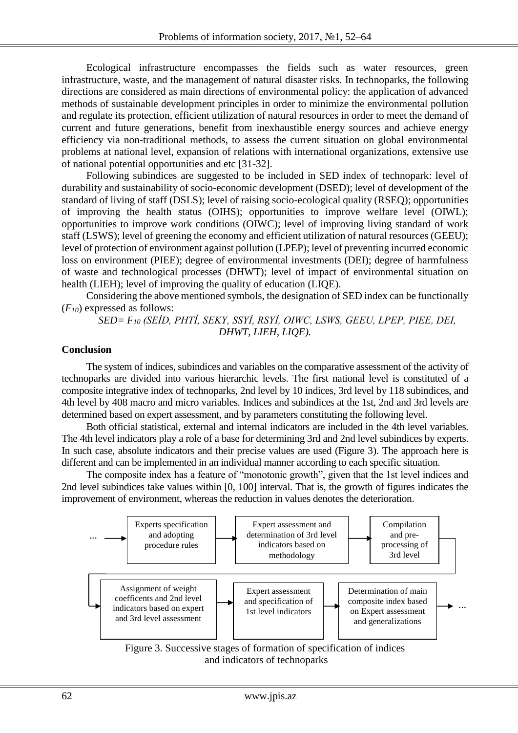Ecological infrastructure encompasses the fields such as water resources, green infrastructure, waste, and the management of natural disaster risks. In technoparks, the following directions are considered as main directions of environmental policy: the application of advanced methods of sustainable development principles in order to minimize the environmental pollution and regulate its protection, efficient utilization of natural resources in order to meet the demand of current and future generations, benefit from inexhaustible energy sources and achieve energy efficiency via non-traditional methods, to assess the current situation on global environmental problems at national level, expansion of relations with international organizations, extensive use of national potential opportunities and etc [31-32].

Following subindices are suggested to be included in SED index of technopark: level of durability and sustainability of socio-economic development (DSED); level of development of the standard of living of staff (DSLS); level of raising socio-ecological quality (RSEQ); opportunities of improving the health status (OIHS); opportunities to improve welfare level (OIWL); opportunities to improve work conditions (OIWC); level of improving living standard of work staff (LSWS); level of greening the economy and efficient utilization of natural resources (GEEU); level of protection of environment against pollution (LPEP); level of preventing incurred economic loss on environment (PIEE); degree of environmental investments (DEI); degree of harmfulness of waste and technological processes (DHWT); level of impact of environmental situation on health (LIEH); level of improving the quality of education (LIQE).

Considering the above mentioned symbols, the designation of SED index can be functionally (*F10*) expressed as follows:

## *SED= F<sup>10</sup> (SEİD, PHTİ, SEKY, SSYİ, RSYİ, OIWC, LSWS, GEEU, LPEP, PIEE, DEI, DHWT, LIEH, LIQE).*

#### **Conclusion**

The system of indices, subindices and variables on the comparative assessment of the activity of technoparks are divided into various hierarchic levels. The first national level is constituted of a composite integrative index of technoparks, 2nd level by 10 indices, 3rd level by 118 subindices, and 4th level by 408 macro and micro variables. Indices and subindices at the 1st, 2nd and 3rd levels are determined based on expert assessment, and by parameters constituting the following level.

Both official statistical, external and internal indicators are included in the 4th level variables. The 4th level indicators play a role of a base for determining 3rd and 2nd level subindices by experts. In such case, absolute indicators and their precise values are used (Figure 3). The approach here is different and can be implemented in an individual manner according to each specific situation.

The composite index has a feature of "monotonic growth", given that the 1st level indices and 2nd level subindices take values within [0, 100] interval. That is, the growth of figures indicates the improvement of environment, whereas the reduction in values denotes the deterioration.



Figure 3. Successive stages of formation of specification of indices and indicators of technoparks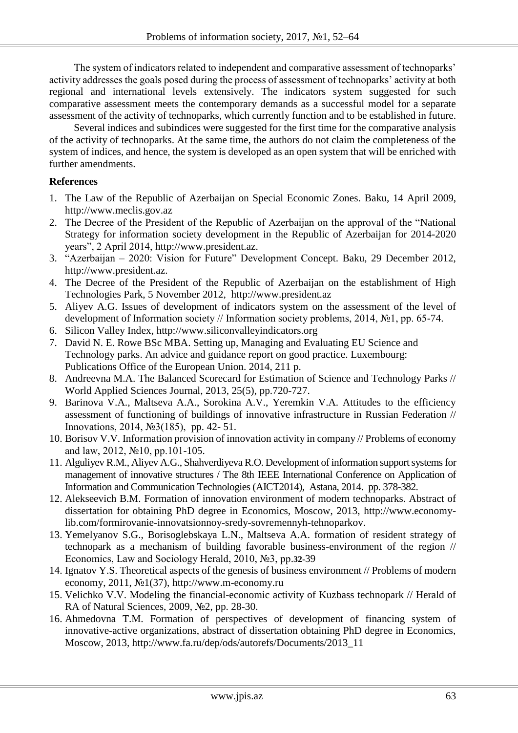The system of indicators related to independent and comparative assessment of technoparks' activity addresses the goals posed during the process of assessment of technoparks' activity at both regional and international levels extensively. The indicators system suggested for such comparative assessment meets the contemporary demands as a successful model for a separate assessment of the activity of technoparks, which currently function and to be established in future.

Several indices and subindices were suggested for the first time for the comparative analysis of the activity of technoparks. At the same time, the authors do not claim the completeness of the system of indices, and hence, the system is developed as an open system that will be enriched with further amendments.

## **References**

- 1. The Law of the Republic of Azerbaijan on Special Economic Zones. Baku, 14 April 2009, http://www.meclis.gov.az
- 2. The Decree of the President of the Republic of Azerbaijan on the approval of the "National Strategy for information society development in the Republic of Azerbaijan for 2014-2020 years", 2 April 2014, http://www.president.az.
- 3. "Azerbaijan 2020: Vision for Future" Development Concept. Baku, 29 December 2012, http://www.president.az.
- 4. The Decree of the President of the Republic of Azerbaijan on the establishment of High Technologies Park, 5 November 2012, http:/[/www.president.az](http://www.president.az/)
- 5. Aliyev A.G. Issues of development of indicators system on the assessment of the level of development of Information society // Information society problems, 2014, №1, pp. 65-74.
- 6. Silicon Valley Index, http://www.siliconvalleyindicators.org
- 7. David N. E. Rowe BSc MBA. Setting up, Managing and Evaluating EU Science and Technology parks. An advice and guidance report on good practice. Luxembourg: Publications Office of the European Union. 2014, 211 p.
- 8. Andreevna M.A. The Balanced Scorecard for Estimation of Science and Technology Parks // World Applied Sciences Journal, 2013, 25(5), pp.720-727.
- 9. Barinova V.A., Maltseva A.A., Sorokina A.V., Yeremkin V.A. Attitudes to the efficiency assessment of functioning of buildings of innovative infrastructure in Russian Federation // Innovations, 2014, №3(185), pp. 42- 51.
- 10. Borisov V.V. Information provision of innovation activity in company // Problems of economy and law, 2012, №10, pp.101-105.
- 11. Alguliyev R.M., Aliyev A.G., Shahverdiyeva R.O. Development of information support systems for management of innovative structures / The 8th IEEE International Conference on Application of Information and Communication Technologies (AICT2014), Astana, 2014. pp. 378-382.
- 12. Alekseevich B.M. Formation of innovation environment of modern technoparks. Abstract of dissertation for obtaining PhD degree in Economics, Moscow, 2013, http://www.economylib.com/formirovanie-innovatsionnoy-sredy-sovremennyh-tehnoparkov.
- 13. Yemelyanov S.G., Borisoglebskaya L.N., Maltseva A.A. formation of resident strategy of technopark as a mechanism of building favorable business-environment of the region // Economics, Law and Sociology Herald, 2010, №3, pp.**32-**39
- 14. Ignatov Y.S. Theoretical aspects of the genesis of business environment // Problems of modern economy, 2011, №1(37), http://www.m-economy.ru
- 15. Velichko V.V. Modeling the financial-economic activity of Kuzbass technopark // Herald of RA of Natural Sciences, 2009, №2, pp. 28-30.
- 16. Ahmedovna T.M. Formation of perspectives of development of financing system of innovative-active organizations, abstract of dissertation obtaining PhD degree in Economics, Moscow, 2013, http://www.fa.ru/dep/ods/autorefs/Documents/2013\_11